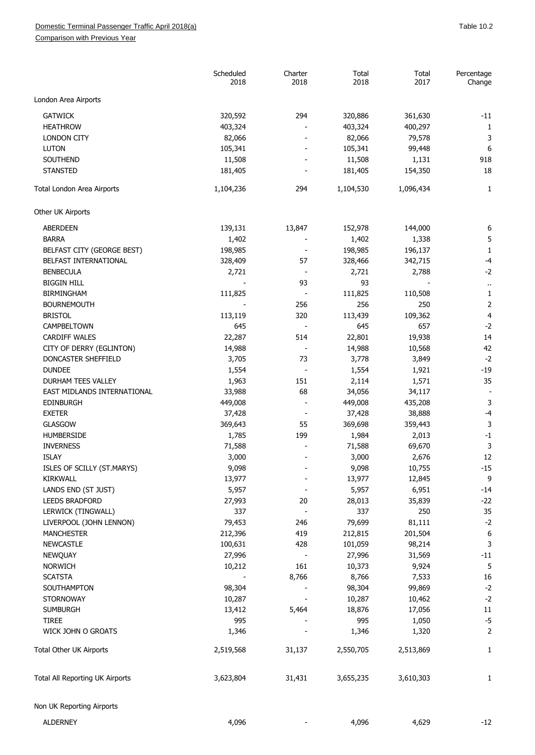## Domestic Terminal Passenger Traffic April 2018(a) and the state of the state of the San Table 10.2

Comparison with Previous Year

|                                 | Scheduled<br>2018 | Charter<br>2018          | Total<br>2018 | Total<br>2017    | Percentage<br>Change |
|---------------------------------|-------------------|--------------------------|---------------|------------------|----------------------|
| London Area Airports            |                   |                          |               |                  |                      |
| <b>GATWICK</b>                  | 320,592           | 294                      | 320,886       | 361,630          | $-11$                |
| <b>HEATHROW</b>                 | 403,324           |                          | 403,324       | 400,297          | 1                    |
| <b>LONDON CITY</b>              | 82,066            |                          | 82,066        | 79,578           | 3                    |
| <b>LUTON</b>                    | 105,341           |                          | 105,341       | 99,448           | 6                    |
| SOUTHEND                        | 11,508            |                          | 11,508        |                  | 918                  |
| <b>STANSTED</b>                 | 181,405           |                          | 181,405       | 1,131<br>154,350 | 18                   |
| Total London Area Airports      | 1,104,236         | 294                      | 1,104,530     | 1,096,434        | 1                    |
| Other UK Airports               |                   |                          |               |                  |                      |
| <b>ABERDEEN</b>                 | 139,131           | 13,847                   | 152,978       | 144,000          | 6                    |
| <b>BARRA</b>                    | 1,402             |                          | 1,402         | 1,338            | 5                    |
| BELFAST CITY (GEORGE BEST)      | 198,985           |                          | 198,985       | 196,137          | 1                    |
| BELFAST INTERNATIONAL           | 328,409           | 57                       | 328,466       | 342,715          | -4                   |
| <b>BENBECULA</b>                | 2,721             |                          | 2,721         | 2,788            | $-2$                 |
| <b>BIGGIN HILL</b>              |                   | 93                       | 93            |                  |                      |
| <b>BIRMINGHAM</b>               | 111,825           | $\overline{\phantom{a}}$ | 111,825       | 110,508          | 1                    |
| <b>BOURNEMOUTH</b>              |                   | 256                      | 256           | 250              | $\overline{2}$       |
| <b>BRISTOL</b>                  | 113,119           | 320                      | 113,439       | 109,362          | 4                    |
| CAMPBELTOWN                     | 645               |                          | 645           | 657              | $-2$                 |
| <b>CARDIFF WALES</b>            | 22,287            | 514                      | 22,801        | 19,938           | 14                   |
| CITY OF DERRY (EGLINTON)        | 14,988            | $\overline{\phantom{a}}$ | 14,988        | 10,568           | 42                   |
| DONCASTER SHEFFIELD             | 3,705             | 73                       | 3,778         |                  | $-2$                 |
| <b>DUNDEE</b>                   |                   |                          |               | 3,849            | $-19$                |
| DURHAM TEES VALLEY              | 1,554             | 151                      | 1,554         | 1,921            | 35                   |
| EAST MIDLANDS INTERNATIONAL     | 1,963             | 68                       | 2,114         | 1,571            |                      |
|                                 | 33,988            |                          | 34,056        | 34,117           |                      |
| <b>EDINBURGH</b>                | 449,008           |                          | 449,008       | 435,208          | 3                    |
| <b>EXETER</b>                   | 37,428            |                          | 37,428        | 38,888           | -4                   |
| <b>GLASGOW</b>                  | 369,643           | 55                       | 369,698       | 359,443          | 3                    |
| <b>HUMBERSIDE</b>               | 1,785             | 199                      | 1,984         | 2,013            | $-1$                 |
| <b>INVERNESS</b>                | 71,588            |                          | 71,588        | 69,670           | 3                    |
| <b>ISLAY</b>                    | 3,000             |                          | 3,000         | 2,676            | 12                   |
| ISLES OF SCILLY (ST.MARYS)      | 9,098             |                          | 9,098         | 10,755           | $-15$                |
| KIRKWALL                        | 13,977            |                          | 13,977        | 12,845           | 9                    |
| LANDS END (ST JUST)             | 5,957             |                          | 5,957         | 6,951            | $-14$                |
| LEEDS BRADFORD                  | 27,993            | 20                       | 28,013        | 35,839           | $-22$                |
| LERWICK (TINGWALL)              | 337               |                          | 337           | 250              | 35                   |
| LIVERPOOL (JOHN LENNON)         | 79,453            | 246                      | 79,699        | 81,111           | $-2$                 |
| <b>MANCHESTER</b>               | 212,396           | 419                      | 212,815       | 201,504          | 6                    |
| <b>NEWCASTLE</b>                | 100,631           | 428                      | 101,059       | 98,214           | 3                    |
| NEWQUAY                         | 27,996            |                          | 27,996        | 31,569           | $-11$                |
| <b>NORWICH</b>                  | 10,212            | 161                      | 10,373        | 9,924            | 5                    |
| <b>SCATSTA</b>                  |                   | 8,766                    | 8,766         | 7,533            | 16                   |
| SOUTHAMPTON                     | 98,304            |                          | 98,304        | 99,869           | $-2$                 |
| <b>STORNOWAY</b>                | 10,287            |                          | 10,287        | 10,462           | $-2$                 |
| <b>SUMBURGH</b>                 | 13,412            | 5,464                    | 18,876        | 17,056           | 11                   |
| <b>TIREE</b>                    | 995               |                          | 995           | 1,050            | $-5$                 |
| WICK JOHN O GROATS              | 1,346             |                          | 1,346         | 1,320            | $\overline{2}$       |
| Total Other UK Airports         | 2,519,568         | 31,137                   | 2,550,705     | 2,513,869        | 1                    |
| Total All Reporting UK Airports | 3,623,804         | 31,431                   | 3,655,235     | 3,610,303        | 1                    |
| Non UK Reporting Airports       |                   |                          |               |                  |                      |
| <b>ALDERNEY</b>                 | 4,096             |                          | 4,096         | 4,629            | $-12$                |